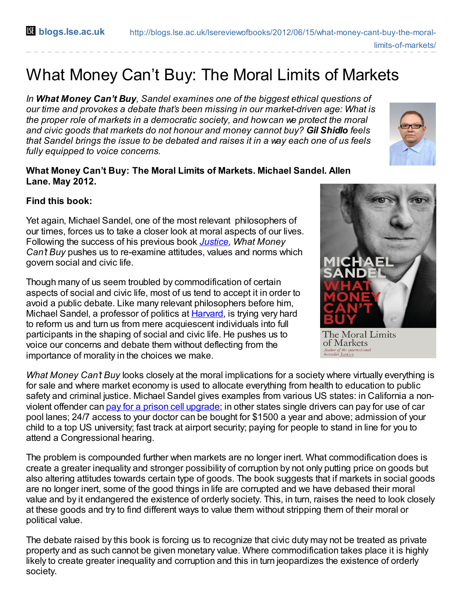## What Money Can't Buy: The Moral Limits of Markets

*In What Money Can't Buy, Sandel examines one of the biggest ethical questions of our time and provokes a debate that's been missing in our market-driven age: What is the proper role of markets in a democratic society, and howcan we protect the moral and civic goods that markets do not honour and money cannot buy? Gil Shidlo feels that Sandel brings the issue to be debated and raises it in a way each one of us feels fully equipped to voice concerns.*



## **What Money Can't Buy: The Moral Limits of Markets. Michael Sandel. Allen Lane. May 2012.**

## **Find this book:**

Yet again, Michael Sandel, one of the most relevant philosophers of our times, forces us to take a closer look at moral aspects of our lives. Following the success of his previous book *[Justice](http://www.amazon.co.uk/Justice-Whats-Right-Thing-Do/dp/0141041331/ref=sr_1_2?s=books&ie=UTF8&qid=1339601553&sr=1-2), What Money Can't Buy* pushes us to re-examine attitudes, values and norms which govern social and civic life.

Though many of us seem troubled by commodification of certain aspects of social and civic life, most of us tend to accept it in order to avoid a public debate. Like many relevant philosophers before him, Michael Sandel, a professor of politics at **[Harvard](http://www.justiceharvard.org/about/michael-sandel/)**, is trying very hard to reform us and turn us from mere acquiescent individuals into full participants in the shaping of social and civic life. He pushes us to voice our concerns and debate them without deflecting from the importance of morality in the choices we make.

*What Money Can't Buy* looks closely at the moral implications for a society where virtually everything is for sale and where market economy is used to allocate everything from health to education to public safety and criminal justice. Michael Sandel gives examples from various US states: in California a nonviolent offender can pay for a prison cell [upgrade](http://www.nytimes.com/2007/04/29/us/29jail.html?pagewanted=all); in other states single drivers can pay for use of car pool lanes; 24/7 access to your doctor can be bought for \$1500 a year and above; admission of your child to a top US university; fast track at airport security; paying for people to stand in line for you to attend a Congressional hearing.

The problem is compounded further when markets are no longer inert. What commodification does is create a greater inequality and stronger possibility of corruption by not only putting price on goods but also altering attitudes towards certain type of goods. The book suggests that if markets in social goods are no longer inert, some of the good things in life are corrupted and we have debased their moral value and by it endangered the existence of orderly society. This, in turn, raises the need to look closely at these goods and try to find different ways to value them without stripping them of their moral or political value.

The debate raised by this book is forcing us to recognize that civic duty may not be treated as private property and as such cannot be given monetary value. Where commodification takes place it is highly likely to create greater inequality and corruption and this in turn jeopardizes the existence of orderly society.



The Moral Limits of Markets Author of the international<br>bestseller J<u>ustice</u>